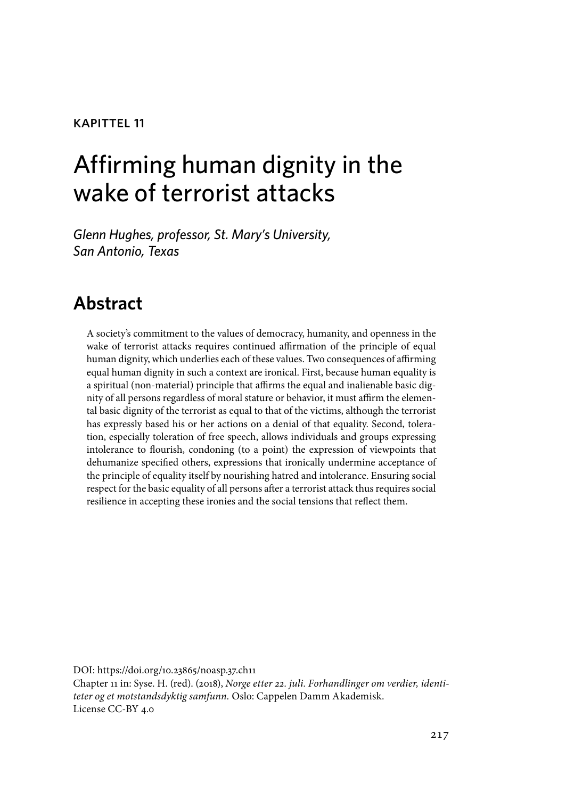#### kapittel 11

# Affirming human dignity in the wake of terrorist attacks

*Glenn Hughes, professor, St. Mary's University, San Antonio, Texas*

# **Abstract**

A society's commitment to the values of democracy, humanity, and openness in the wake of terrorist attacks requires continued affirmation of the principle of equal human dignity, which underlies each of these values. Two consequences of affirming equal human dignity in such a context are ironical. First, because human equality is a spiritual (non-material) principle that affirms the equal and inalienable basic dignity of all persons regardless of moral stature or behavior, it must affirm the elemental basic dignity of the terrorist as equal to that of the victims, although the terrorist has expressly based his or her actions on a denial of that equality. Second, toleration, especially toleration of free speech, allows individuals and groups expressing intolerance to flourish, condoning (to a point) the expression of viewpoints that dehumanize specified others, expressions that ironically undermine acceptance of the principle of equality itself by nourishing hatred and intolerance. Ensuring social respect for the basic equality of all persons after a terrorist attack thus requires social resilience in accepting these ironies and the social tensions that reflect them.

DOI: https://doi.org/10.23865/noasp.37.ch11 Chapter 11 in: Syse. H. (red). (2018), *Norge etter 22. juli. Forhandlinger om verdier, identiteter og et motstandsdyktig samfunn.* Oslo: Cappelen Damm Akademisk. License CC-BY 4.0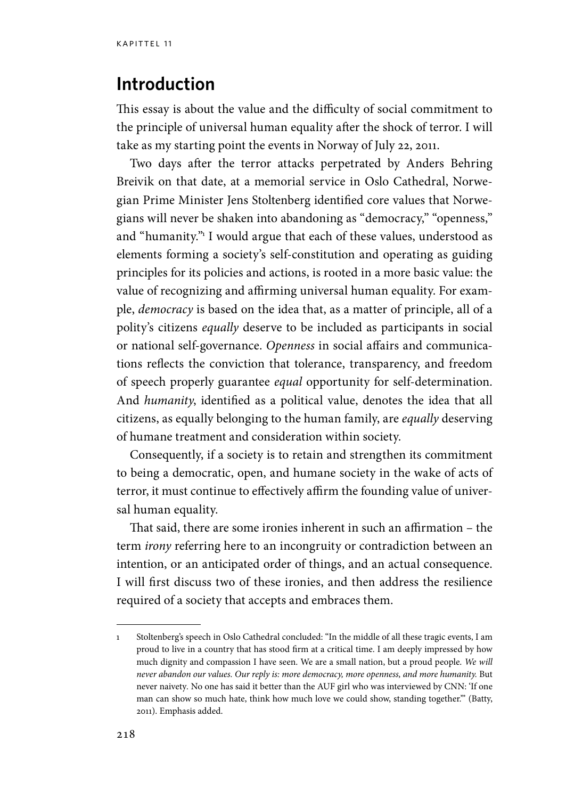#### **Introduction**

This essay is about the value and the difficulty of social commitment to the principle of universal human equality after the shock of terror. I will take as my starting point the events in Norway of July 22, 2011.

Two days after the terror attacks perpetrated by Anders Behring Breivik on that date, at a memorial service in Oslo Cathedral, Norwegian Prime Minister Jens Stoltenberg identified core values that Norwegians will never be shaken into abandoning as "democracy," "openness," and "humanity."1 I would argue that each of these values, understood as elements forming a society's self-constitution and operating as guiding principles for its policies and actions, is rooted in a more basic value: the value of recognizing and affirming universal human equality. For example, *democracy* is based on the idea that, as a matter of principle, all of a polity's citizens *equally* deserve to be included as participants in social or national self-governance. *Openness* in social affairs and communications reflects the conviction that tolerance, transparency, and freedom of speech properly guarantee *equal* opportunity for self-determination. And *humanity*, identified as a political value, denotes the idea that all citizens, as equally belonging to the human family, are *equally* deserving of humane treatment and consideration within society.

Consequently, if a society is to retain and strengthen its commitment to being a democratic, open, and humane society in the wake of acts of terror, it must continue to effectively affirm the founding value of universal human equality.

That said, there are some ironies inherent in such an affirmation – the term *irony* referring here to an incongruity or contradiction between an intention, or an anticipated order of things, and an actual consequence. I will first discuss two of these ironies, and then address the resilience required of a society that accepts and embraces them.

<sup>1</sup> Stoltenberg's speech in Oslo Cathedral concluded: "In the middle of all these tragic events, I am proud to live in a country that has stood firm at a critical time. I am deeply impressed by how much dignity and compassion I have seen. We are a small nation, but a proud people. *We will never abandon our values. Our reply is: more democracy, more openness, and more humanity.* But never naivety*.* No one has said it better than the AUF girl who was interviewed by CNN: 'If one man can show so much hate, think how much love we could show, standing together.'" (Batty, 2011). Emphasis added.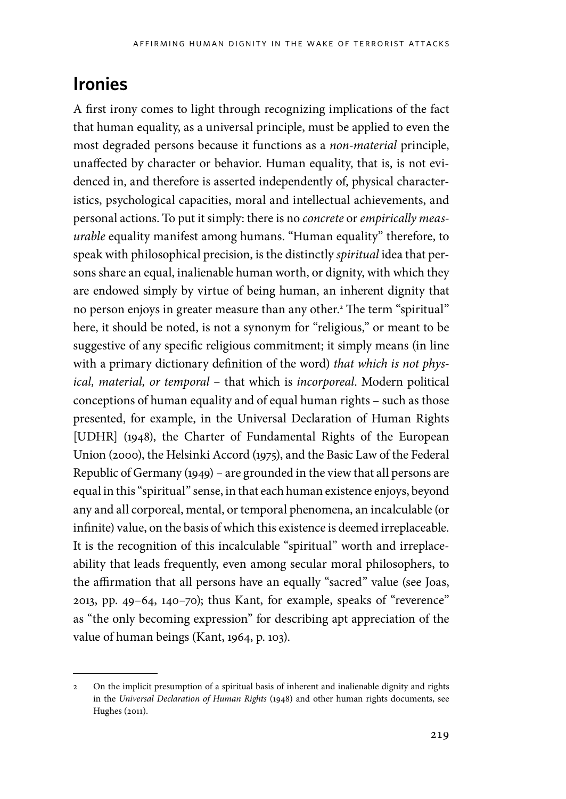# **Ironies**

A first irony comes to light through recognizing implications of the fact that human equality, as a universal principle, must be applied to even the most degraded persons because it functions as a *non-material* principle, unaffected by character or behavior. Human equality, that is, is not evidenced in, and therefore is asserted independently of, physical characteristics, psychological capacities, moral and intellectual achievements, and personal actions. To put it simply: there is no *concrete* or *empirically measurable* equality manifest among humans. "Human equality" therefore, to speak with philosophical precision, is the distinctly *spiritual* idea that persons share an equal, inalienable human worth, or dignity, with which they are endowed simply by virtue of being human, an inherent dignity that no person enjoys in greater measure than any other.2 The term "spiritual" here, it should be noted, is not a synonym for "religious," or meant to be suggestive of any specific religious commitment; it simply means (in line with a primary dictionary definition of the word) *that which is not physical, material, or temporal* – that which is *incorporeal*. Modern political conceptions of human equality and of equal human rights – such as those presented, for example, in the Universal Declaration of Human Rights [UDHR] (1948), the Charter of Fundamental Rights of the European Union (2000), the Helsinki Accord (1975), and the Basic Law of the Federal Republic of Germany (1949) – are grounded in the view that all persons are equal in this "spiritual" sense, in that each human existence enjoys, beyond any and all corporeal, mental, or temporal phenomena, an incalculable (or infinite) value, on the basis of which this existence is deemed irreplaceable. It is the recognition of this incalculable "spiritual" worth and irreplaceability that leads frequently, even among secular moral philosophers, to the affirmation that all persons have an equally "sacred" value (see Joas, 2013, pp. 49–64, 140–70); thus Kant, for example, speaks of "reverence" as "the only becoming expression" for describing apt appreciation of the value of human beings (Kant, 1964, p. 103).

<sup>2</sup> On the implicit presumption of a spiritual basis of inherent and inalienable dignity and rights in the *Universal Declaration of Human Rights* (1948) and other human rights documents, see Hughes (2011).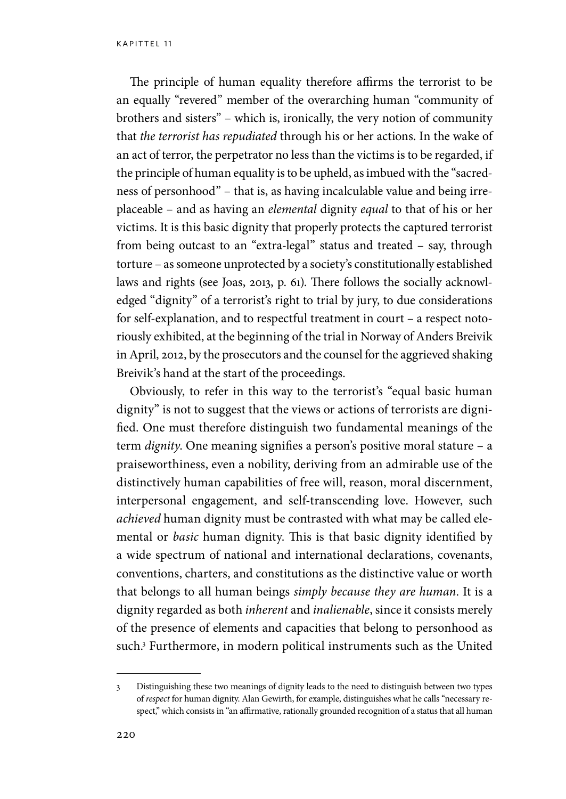The principle of human equality therefore affirms the terrorist to be an equally "revered" member of the overarching human "community of brothers and sisters" – which is, ironically, the very notion of community that *the terrorist has repudiated* through his or her actions. In the wake of an act of terror, the perpetrator no less than the victims is to be regarded, if the principle of human equality is to be upheld, as imbued with the "sacredness of personhood" – that is, as having incalculable value and being irreplaceable – and as having an *elemental* dignity *equal* to that of his or her victims. It is this basic dignity that properly protects the captured terrorist from being outcast to an "extra-legal" status and treated – say, through torture – as someone unprotected by a society's constitutionally established laws and rights (see Joas, 2013, p. 61). There follows the socially acknowledged "dignity" of a terrorist's right to trial by jury, to due considerations for self-explanation, and to respectful treatment in court – a respect notoriously exhibited, at the beginning of the trial in Norway of Anders Breivik in April, 2012, by the prosecutors and the counsel for the aggrieved shaking Breivik's hand at the start of the proceedings.

Obviously, to refer in this way to the terrorist's "equal basic human dignity" is not to suggest that the views or actions of terrorists are dignified. One must therefore distinguish two fundamental meanings of the term *dignity*. One meaning signifies a person's positive moral stature – a praiseworthiness, even a nobility, deriving from an admirable use of the distinctively human capabilities of free will, reason, moral discernment, interpersonal engagement, and self-transcending love. However, such *achieved* human dignity must be contrasted with what may be called elemental or *basic* human dignity. This is that basic dignity identified by a wide spectrum of national and international declarations, covenants, conventions, charters, and constitutions as the distinctive value or worth that belongs to all human beings *simply because they are human*. It is a dignity regarded as both *inherent* and *inalienable*, since it consists merely of the presence of elements and capacities that belong to personhood as such.3 Furthermore, in modern political instruments such as the United

<sup>3</sup> Distinguishing these two meanings of dignity leads to the need to distinguish between two types of *respect* for human dignity. Alan Gewirth, for example, distinguishes what he calls "necessary respect," which consists in "an affirmative, rationally grounded recognition of a status that all human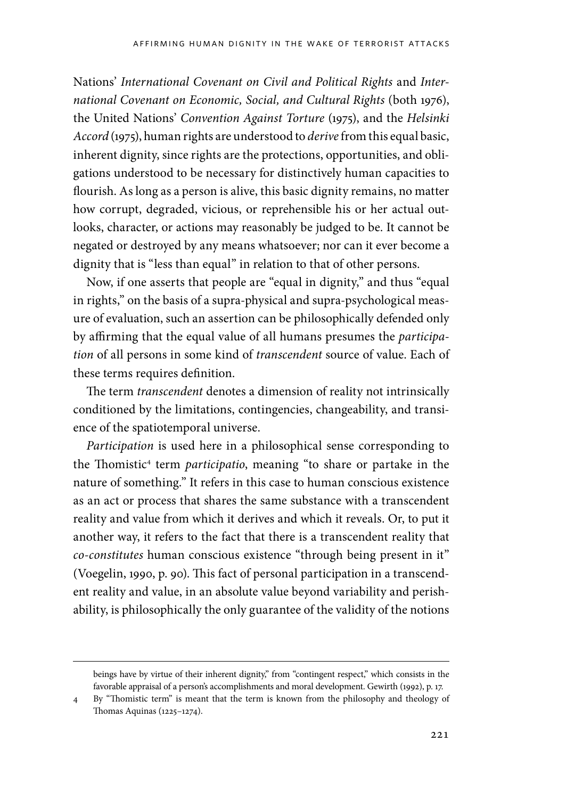Nations' *International Covenant on Civil and Political Rights* and *International Covenant on Economic, Social, and Cultural Rights* (both 1976), the United Nations' *Convention Against Torture* (1975), and the *Helsinki Accord* (1975), human rights are understood to *derive* from this equal basic, inherent dignity, since rights are the protections, opportunities, and obligations understood to be necessary for distinctively human capacities to flourish. As long as a person is alive, this basic dignity remains, no matter how corrupt, degraded, vicious, or reprehensible his or her actual outlooks, character, or actions may reasonably be judged to be. It cannot be negated or destroyed by any means whatsoever; nor can it ever become a dignity that is "less than equal" in relation to that of other persons.

Now, if one asserts that people are "equal in dignity," and thus "equal in rights," on the basis of a supra-physical and supra-psychological measure of evaluation, such an assertion can be philosophically defended only by affirming that the equal value of all humans presumes the *participation* of all persons in some kind of *transcendent* source of value. Each of these terms requires definition.

The term *transcendent* denotes a dimension of reality not intrinsically conditioned by the limitations, contingencies, changeability, and transience of the spatiotemporal universe.

*Participation* is used here in a philosophical sense corresponding to the Thomistic<sup>4</sup> term *participatio*, meaning "to share or partake in the nature of something." It refers in this case to human conscious existence as an act or process that shares the same substance with a transcendent reality and value from which it derives and which it reveals. Or, to put it another way, it refers to the fact that there is a transcendent reality that *co-constitutes* human conscious existence "through being present in it" (Voegelin, 1990, p. 90). This fact of personal participation in a transcendent reality and value, in an absolute value beyond variability and perishability, is philosophically the only guarantee of the validity of the notions

beings have by virtue of their inherent dignity," from "contingent respect," which consists in the favorable appraisal of a person's accomplishments and moral development. Gewirth (1992), p. 17.

<sup>4</sup> By "Thomistic term" is meant that the term is known from the philosophy and theology of Thomas Aquinas (1225–1274).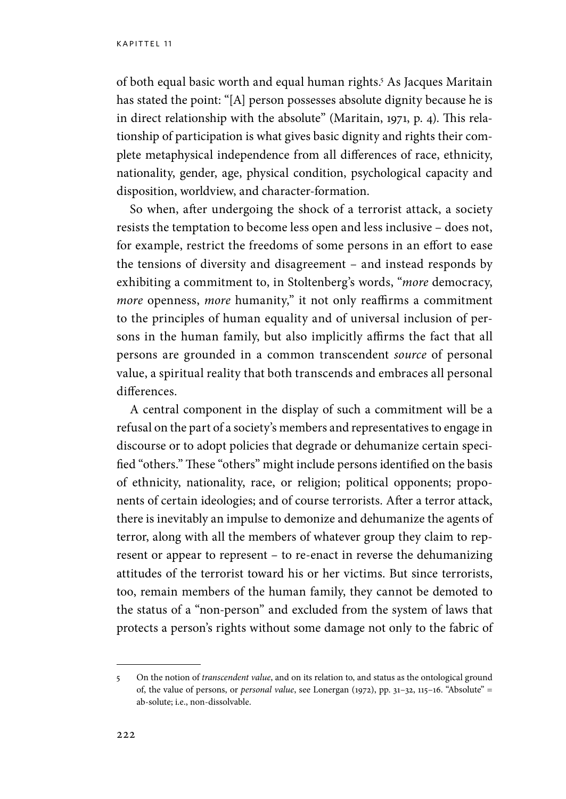of both equal basic worth and equal human rights.5 As Jacques Maritain has stated the point: "[A] person possesses absolute dignity because he is in direct relationship with the absolute" (Maritain, 1971, p. 4). This relationship of participation is what gives basic dignity and rights their complete metaphysical independence from all differences of race, ethnicity, nationality, gender, age, physical condition, psychological capacity and disposition, worldview, and character-formation.

So when, after undergoing the shock of a terrorist attack, a society resists the temptation to become less open and less inclusive – does not, for example, restrict the freedoms of some persons in an effort to ease the tensions of diversity and disagreement – and instead responds by exhibiting a commitment to, in Stoltenberg's words, "*more* democracy, *more* openness, *more* humanity," it not only reaffirms a commitment to the principles of human equality and of universal inclusion of persons in the human family, but also implicitly affirms the fact that all persons are grounded in a common transcendent *source* of personal value, a spiritual reality that both transcends and embraces all personal differences.

A central component in the display of such a commitment will be a refusal on the part of a society's members and representatives to engage in discourse or to adopt policies that degrade or dehumanize certain specified "others." These "others" might include persons identified on the basis of ethnicity, nationality, race, or religion; political opponents; proponents of certain ideologies; and of course terrorists. After a terror attack, there is inevitably an impulse to demonize and dehumanize the agents of terror, along with all the members of whatever group they claim to represent or appear to represent – to re-enact in reverse the dehumanizing attitudes of the terrorist toward his or her victims. But since terrorists, too, remain members of the human family, they cannot be demoted to the status of a "non-person" and excluded from the system of laws that protects a person's rights without some damage not only to the fabric of

<sup>5</sup> On the notion of *transcendent value*, and on its relation to, and status as the ontological ground of, the value of persons, or *personal value*, see Lonergan (1972), pp. 31–32, 115–16. "Absolute" = ab-solute; i.e., non-dissolvable.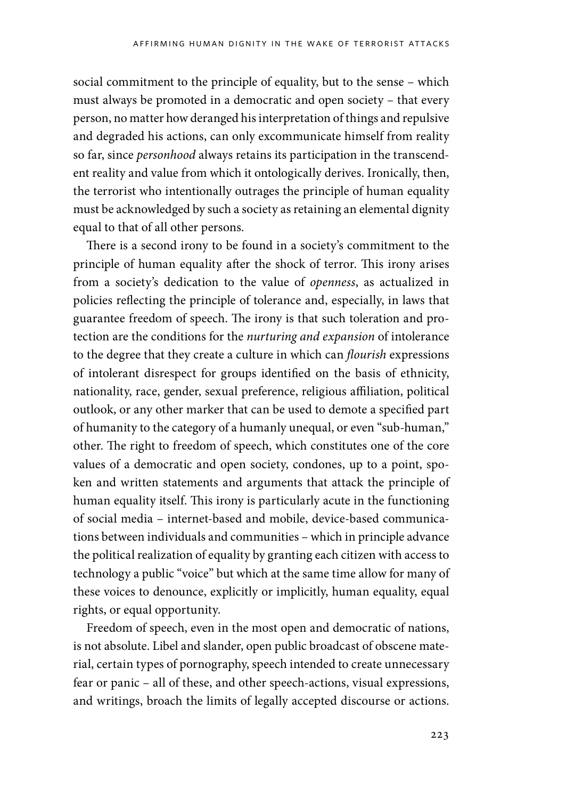social commitment to the principle of equality, but to the sense – which must always be promoted in a democratic and open society – that every person, no matter how deranged his interpretation of things and repulsive and degraded his actions, can only excommunicate himself from reality so far, since *personhood* always retains its participation in the transcendent reality and value from which it ontologically derives. Ironically, then, the terrorist who intentionally outrages the principle of human equality must be acknowledged by such a society as retaining an elemental dignity equal to that of all other persons.

There is a second irony to be found in a society's commitment to the principle of human equality after the shock of terror. This irony arises from a society's dedication to the value of *openness*, as actualized in policies reflecting the principle of tolerance and, especially, in laws that guarantee freedom of speech. The irony is that such toleration and protection are the conditions for the *nurturing and expansion* of intolerance to the degree that they create a culture in which can *flourish* expressions of intolerant disrespect for groups identified on the basis of ethnicity, nationality, race, gender, sexual preference, religious affiliation, political outlook, or any other marker that can be used to demote a specified part of humanity to the category of a humanly unequal, or even "sub-human," other. The right to freedom of speech, which constitutes one of the core values of a democratic and open society, condones, up to a point, spoken and written statements and arguments that attack the principle of human equality itself. This irony is particularly acute in the functioning of social media – internet-based and mobile, device-based communications between individuals and communities – which in principle advance the political realization of equality by granting each citizen with access to technology a public "voice" but which at the same time allow for many of these voices to denounce, explicitly or implicitly, human equality, equal rights, or equal opportunity.

Freedom of speech, even in the most open and democratic of nations, is not absolute. Libel and slander, open public broadcast of obscene material, certain types of pornography, speech intended to create unnecessary fear or panic – all of these, and other speech-actions, visual expressions, and writings, broach the limits of legally accepted discourse or actions.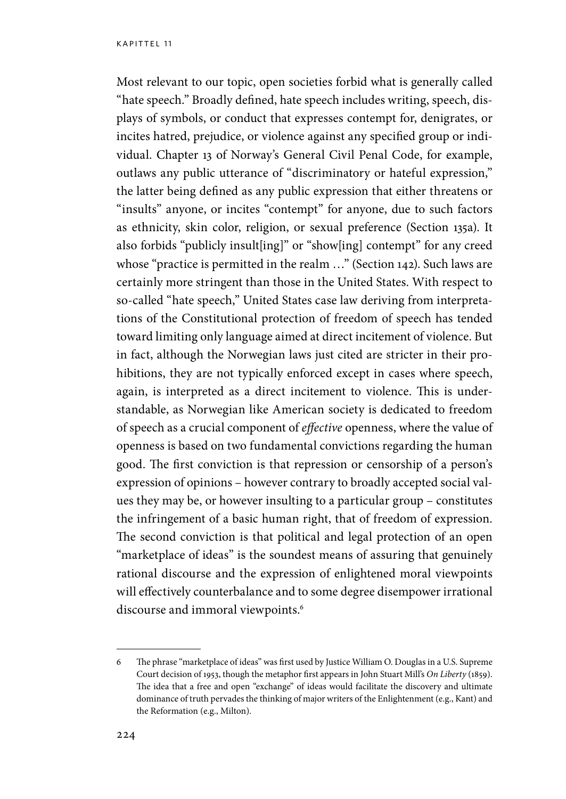Most relevant to our topic, open societies forbid what is generally called "hate speech." Broadly defined, hate speech includes writing, speech, displays of symbols, or conduct that expresses contempt for, denigrates, or incites hatred, prejudice, or violence against any specified group or individual. Chapter 13 of Norway's General Civil Penal Code, for example, outlaws any public utterance of "discriminatory or hateful expression," the latter being defined as any public expression that either threatens or "insults" anyone, or incites "contempt" for anyone, due to such factors as ethnicity, skin color, religion, or sexual preference (Section 135a). It also forbids "publicly insult[ing]" or "show[ing] contempt" for any creed whose "practice is permitted in the realm ..." (Section 142). Such laws are certainly more stringent than those in the United States. With respect to so-called "hate speech," United States case law deriving from interpretations of the Constitutional protection of freedom of speech has tended toward limiting only language aimed at direct incitement of violence. But in fact, although the Norwegian laws just cited are stricter in their prohibitions, they are not typically enforced except in cases where speech, again, is interpreted as a direct incitement to violence. This is understandable, as Norwegian like American society is dedicated to freedom of speech as a crucial component of *effective* openness, where the value of openness is based on two fundamental convictions regarding the human good. The first conviction is that repression or censorship of a person's expression of opinions – however contrary to broadly accepted social values they may be, or however insulting to a particular group – constitutes the infringement of a basic human right, that of freedom of expression. The second conviction is that political and legal protection of an open "marketplace of ideas" is the soundest means of assuring that genuinely rational discourse and the expression of enlightened moral viewpoints will effectively counterbalance and to some degree disempower irrational discourse and immoral viewpoints.<sup>6</sup>

<sup>6</sup> The phrase "marketplace of ideas" was first used by Justice William O. Douglas in a U.S. Supreme Court decision of 1953, though the metaphor first appears in John Stuart Mill's *On Liberty* (1859). The idea that a free and open "exchange" of ideas would facilitate the discovery and ultimate dominance of truth pervades the thinking of major writers of the Enlightenment (e.g., Kant) and the Reformation (e.g., Milton).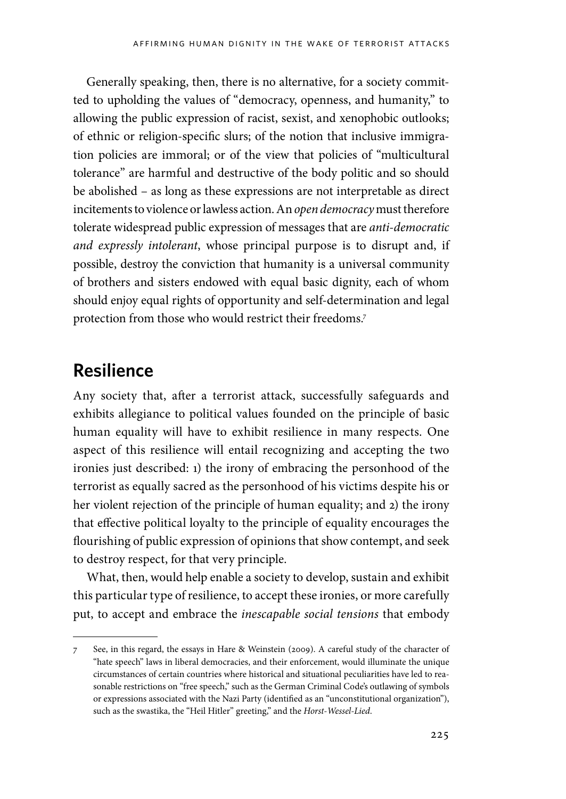Generally speaking, then, there is no alternative, for a society committed to upholding the values of "democracy, openness, and humanity," to allowing the public expression of racist, sexist, and xenophobic outlooks; of ethnic or religion-specific slurs; of the notion that inclusive immigration policies are immoral; or of the view that policies of "multicultural tolerance" are harmful and destructive of the body politic and so should be abolished – as long as these expressions are not interpretable as direct incitements to violence or lawless action. An *open democracy* must therefore tolerate widespread public expression of messages that are *anti-democratic and expressly intolerant*, whose principal purpose is to disrupt and, if possible, destroy the conviction that humanity is a universal community of brothers and sisters endowed with equal basic dignity, each of whom should enjoy equal rights of opportunity and self-determination and legal protection from those who would restrict their freedoms.7

### **Resilience**

Any society that, after a terrorist attack, successfully safeguards and exhibits allegiance to political values founded on the principle of basic human equality will have to exhibit resilience in many respects. One aspect of this resilience will entail recognizing and accepting the two ironies just described: 1) the irony of embracing the personhood of the terrorist as equally sacred as the personhood of his victims despite his or her violent rejection of the principle of human equality; and 2) the irony that effective political loyalty to the principle of equality encourages the flourishing of public expression of opinions that show contempt, and seek to destroy respect, for that very principle.

What, then, would help enable a society to develop, sustain and exhibit this particular type of resilience, to accept these ironies, or more carefully put, to accept and embrace the *inescapable social tensions* that embody

<sup>7</sup> See, in this regard, the essays in Hare & Weinstein (2009). A careful study of the character of "hate speech" laws in liberal democracies, and their enforcement, would illuminate the unique circumstances of certain countries where historical and situational peculiarities have led to reasonable restrictions on "free speech," such as the German Criminal Code's outlawing of symbols or expressions associated with the Nazi Party (identified as an "unconstitutional organization"), such as the swastika, the "Heil Hitler" greeting," and the *Horst-Wessel-Lied*.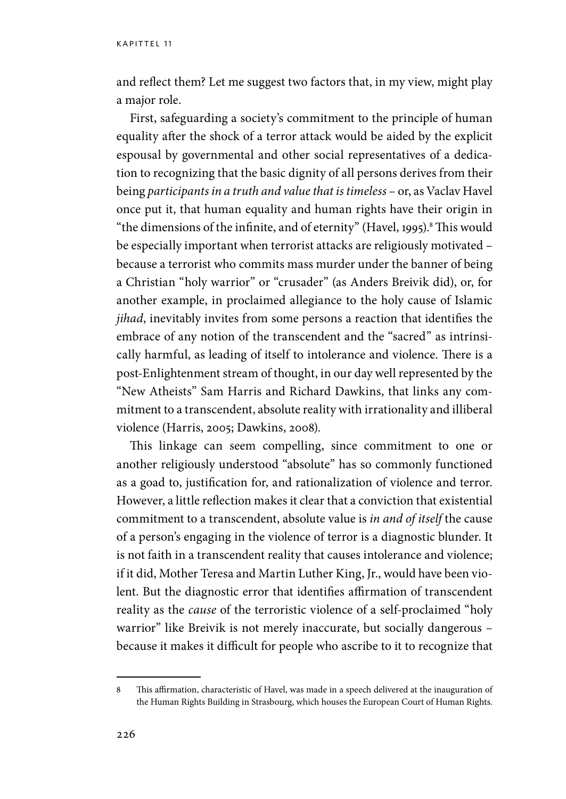and reflect them? Let me suggest two factors that, in my view, might play a major role.

First, safeguarding a society's commitment to the principle of human equality after the shock of a terror attack would be aided by the explicit espousal by governmental and other social representatives of a dedication to recognizing that the basic dignity of all persons derives from their being *participants in a truth and value that is timeless* – or, as Vaclav Havel once put it, that human equality and human rights have their origin in "the dimensions of the infinite, and of eternity" (Havel, 1995). $^8$  This would be especially important when terrorist attacks are religiously motivated – because a terrorist who commits mass murder under the banner of being a Christian "holy warrior" or "crusader" (as Anders Breivik did), or, for another example, in proclaimed allegiance to the holy cause of Islamic *jihad*, inevitably invites from some persons a reaction that identifies the embrace of any notion of the transcendent and the "sacred" as intrinsically harmful, as leading of itself to intolerance and violence. There is a post-Enlightenment stream of thought, in our day well represented by the "New Atheists" Sam Harris and Richard Dawkins, that links any commitment to a transcendent, absolute reality with irrationality and illiberal violence (Harris, 2005; Dawkins, 2008).

This linkage can seem compelling, since commitment to one or another religiously understood "absolute" has so commonly functioned as a goad to, justification for, and rationalization of violence and terror. However, a little reflection makes it clear that a conviction that existential commitment to a transcendent, absolute value is *in and of itself* the cause of a person's engaging in the violence of terror is a diagnostic blunder. It is not faith in a transcendent reality that causes intolerance and violence; if it did, Mother Teresa and Martin Luther King, Jr., would have been violent. But the diagnostic error that identifies affirmation of transcendent reality as the *cause* of the terroristic violence of a self-proclaimed "holy warrior" like Breivik is not merely inaccurate, but socially dangerous – because it makes it difficult for people who ascribe to it to recognize that

<sup>8</sup> This affirmation, characteristic of Havel, was made in a speech delivered at the inauguration of the Human Rights Building in Strasbourg, which houses the European Court of Human Rights.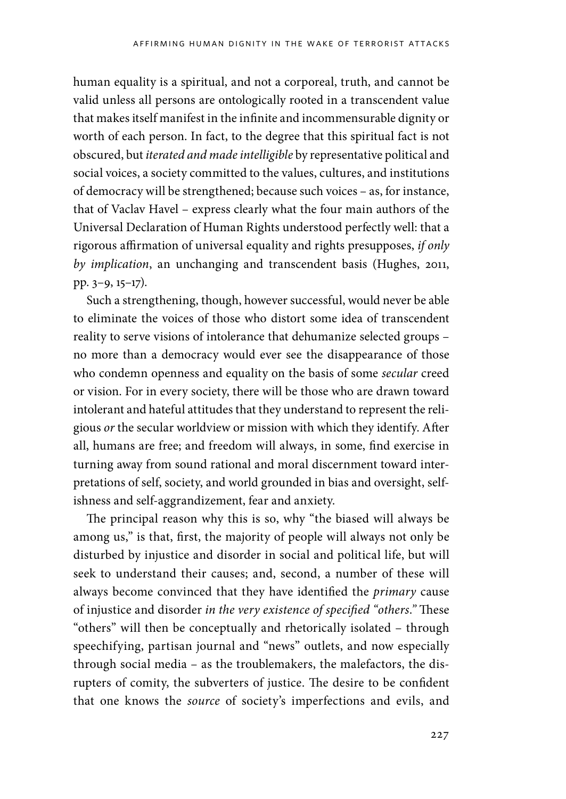human equality is a spiritual, and not a corporeal, truth, and cannot be valid unless all persons are ontologically rooted in a transcendent value that makes itself manifest in the infinite and incommensurable dignity or worth of each person. In fact, to the degree that this spiritual fact is not obscured, but *iterated and made intelligible* by representative political and social voices, a society committed to the values, cultures, and institutions of democracy will be strengthened; because such voices – as, for instance, that of Vaclav Havel – express clearly what the four main authors of the Universal Declaration of Human Rights understood perfectly well: that a rigorous affirmation of universal equality and rights presupposes, *if only by implication*, an unchanging and transcendent basis (Hughes, 2011, pp. 3–9, 15–17).

Such a strengthening, though, however successful, would never be able to eliminate the voices of those who distort some idea of transcendent reality to serve visions of intolerance that dehumanize selected groups – no more than a democracy would ever see the disappearance of those who condemn openness and equality on the basis of some *secular* creed or vision. For in every society, there will be those who are drawn toward intolerant and hateful attitudes that they understand to represent the religious *or* the secular worldview or mission with which they identify. After all, humans are free; and freedom will always, in some, find exercise in turning away from sound rational and moral discernment toward interpretations of self, society, and world grounded in bias and oversight, selfishness and self-aggrandizement, fear and anxiety.

The principal reason why this is so, why "the biased will always be among us," is that, first, the majority of people will always not only be disturbed by injustice and disorder in social and political life, but will seek to understand their causes; and, second, a number of these will always become convinced that they have identified the *primary* cause of injustice and disorder *in the very existence of specified "others*.*"* These "others" will then be conceptually and rhetorically isolated – through speechifying, partisan journal and "news" outlets, and now especially through social media – as the troublemakers, the malefactors, the disrupters of comity, the subverters of justice. The desire to be confident that one knows the *source* of society's imperfections and evils, and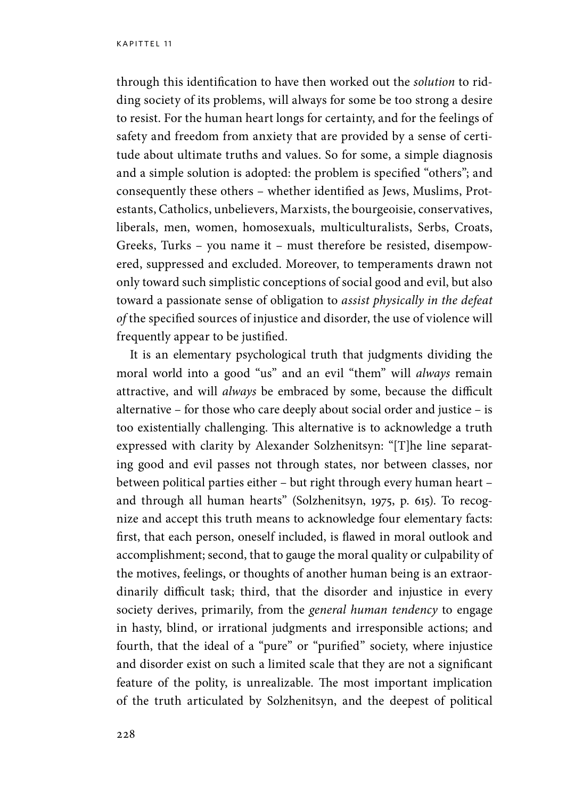through this identification to have then worked out the *solution* to ridding society of its problems, will always for some be too strong a desire to resist. For the human heart longs for certainty, and for the feelings of safety and freedom from anxiety that are provided by a sense of certitude about ultimate truths and values. So for some, a simple diagnosis and a simple solution is adopted: the problem is specified "others"; and consequently these others – whether identified as Jews, Muslims, Protestants, Catholics, unbelievers, Marxists, the bourgeoisie, conservatives, liberals, men, women, homosexuals, multiculturalists, Serbs, Croats, Greeks, Turks – you name it – must therefore be resisted, disempowered, suppressed and excluded. Moreover, to temperaments drawn not only toward such simplistic conceptions of social good and evil, but also toward a passionate sense of obligation to *assist physically in the defeat of* the specified sources of injustice and disorder, the use of violence will frequently appear to be justified.

It is an elementary psychological truth that judgments dividing the moral world into a good "us" and an evil "them" will *always* remain attractive, and will *always* be embraced by some, because the difficult alternative – for those who care deeply about social order and justice – is too existentially challenging. This alternative is to acknowledge a truth expressed with clarity by Alexander Solzhenitsyn: "[T]he line separating good and evil passes not through states, nor between classes, nor between political parties either – but right through every human heart – and through all human hearts" (Solzhenitsyn, 1975, p. 615). To recognize and accept this truth means to acknowledge four elementary facts: first, that each person, oneself included, is flawed in moral outlook and accomplishment; second, that to gauge the moral quality or culpability of the motives, feelings, or thoughts of another human being is an extraordinarily difficult task; third, that the disorder and injustice in every society derives, primarily, from the *general human tendency* to engage in hasty, blind, or irrational judgments and irresponsible actions; and fourth, that the ideal of a "pure" or "purified" society, where injustice and disorder exist on such a limited scale that they are not a significant feature of the polity, is unrealizable. The most important implication of the truth articulated by Solzhenitsyn, and the deepest of political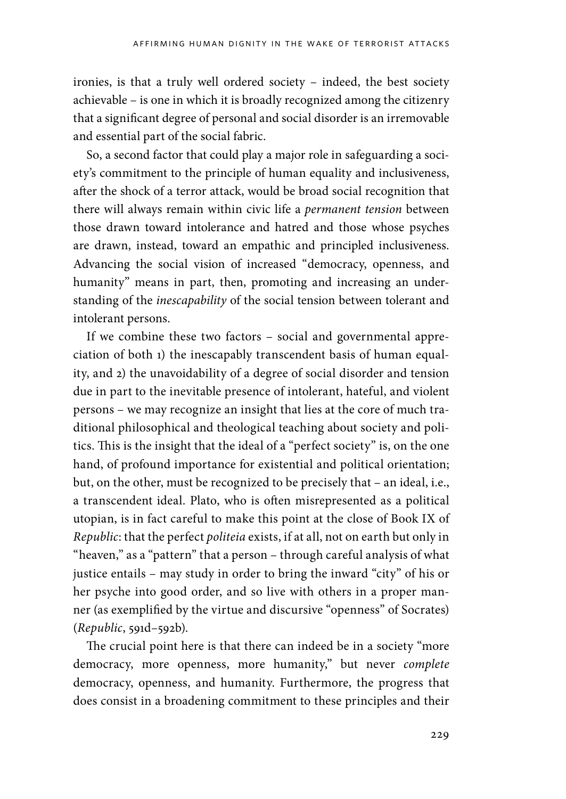ironies, is that a truly well ordered society – indeed, the best society achievable – is one in which it is broadly recognized among the citizenry that a significant degree of personal and social disorder is an irremovable and essential part of the social fabric.

So, a second factor that could play a major role in safeguarding a society's commitment to the principle of human equality and inclusiveness, after the shock of a terror attack, would be broad social recognition that there will always remain within civic life a *permanent tension* between those drawn toward intolerance and hatred and those whose psyches are drawn, instead, toward an empathic and principled inclusiveness. Advancing the social vision of increased "democracy, openness, and humanity" means in part, then, promoting and increasing an understanding of the *inescapability* of the social tension between tolerant and intolerant persons.

If we combine these two factors – social and governmental appreciation of both 1) the inescapably transcendent basis of human equality, and 2) the unavoidability of a degree of social disorder and tension due in part to the inevitable presence of intolerant, hateful, and violent persons – we may recognize an insight that lies at the core of much traditional philosophical and theological teaching about society and politics. This is the insight that the ideal of a "perfect society" is, on the one hand, of profound importance for existential and political orientation; but, on the other, must be recognized to be precisely that – an ideal, i.e., a transcendent ideal. Plato, who is often misrepresented as a political utopian, is in fact careful to make this point at the close of Book IX of *Republic*: that the perfect *politeia* exists, if at all, not on earth but only in "heaven," as a "pattern" that a person – through careful analysis of what justice entails – may study in order to bring the inward "city" of his or her psyche into good order, and so live with others in a proper manner (as exemplified by the virtue and discursive "openness" of Socrates) (*Republic*, 591d–592b).

The crucial point here is that there can indeed be in a society "more democracy, more openness, more humanity," but never *complete* democracy, openness, and humanity. Furthermore, the progress that does consist in a broadening commitment to these principles and their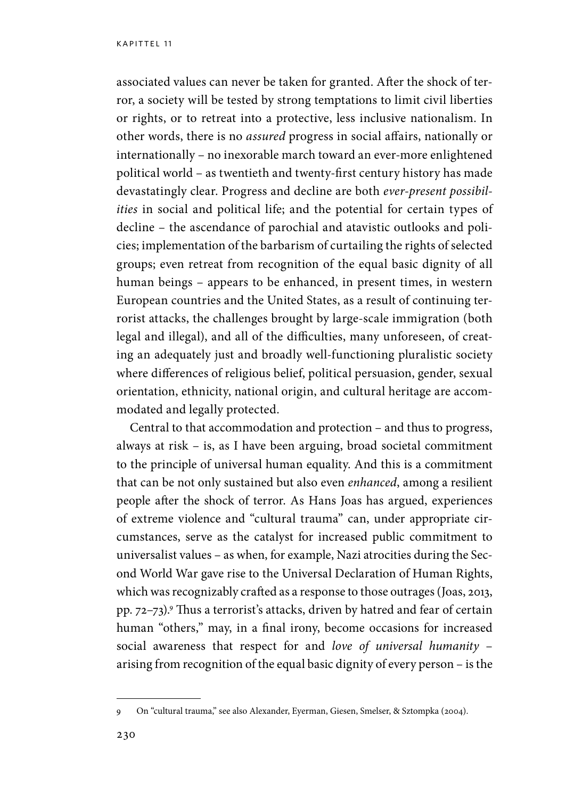associated values can never be taken for granted. After the shock of terror, a society will be tested by strong temptations to limit civil liberties or rights, or to retreat into a protective, less inclusive nationalism. In other words, there is no *assured* progress in social affairs, nationally or internationally – no inexorable march toward an ever-more enlightened political world – as twentieth and twenty-first century history has made devastatingly clear. Progress and decline are both *ever-present possibilities* in social and political life; and the potential for certain types of decline – the ascendance of parochial and atavistic outlooks and policies; implementation of the barbarism of curtailing the rights of selected groups; even retreat from recognition of the equal basic dignity of all human beings – appears to be enhanced, in present times, in western European countries and the United States, as a result of continuing terrorist attacks, the challenges brought by large-scale immigration (both legal and illegal), and all of the difficulties, many unforeseen, of creating an adequately just and broadly well-functioning pluralistic society where differences of religious belief, political persuasion, gender, sexual orientation, ethnicity, national origin, and cultural heritage are accommodated and legally protected.

Central to that accommodation and protection – and thus to progress, always at risk – is, as I have been arguing, broad societal commitment to the principle of universal human equality. And this is a commitment that can be not only sustained but also even *enhanced*, among a resilient people after the shock of terror. As Hans Joas has argued, experiences of extreme violence and "cultural trauma" can, under appropriate circumstances, serve as the catalyst for increased public commitment to universalist values – as when, for example, Nazi atrocities during the Second World War gave rise to the Universal Declaration of Human Rights, which was recognizably crafted as a response to those outrages (Joas, 2013, pp. 72–73).9 Thus a terrorist's attacks, driven by hatred and fear of certain human "others," may, in a final irony, become occasions for increased social awareness that respect for and *love of universal humanity* – arising from recognition of the equal basic dignity of every person – is the

<sup>9</sup> On "cultural trauma," see also Alexander, Eyerman, Giesen, Smelser, & Sztompka (2004).